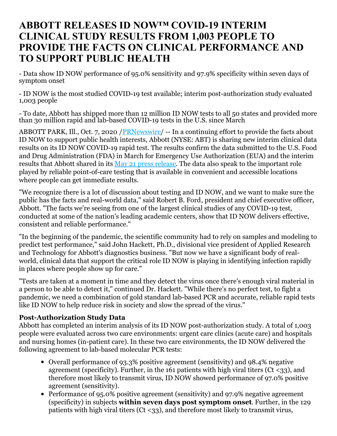# **ABBOTT RELEASES ID NOW™ COVID-19 INTERIM CLINICAL STUDY RESULTS FROM 1,003 PEOPLE TO PROVIDE THE FACTS ON CLINICAL PERFORMANCE AND TO SUPPORT PUBLIC HEALTH**

- Data show ID NOW performance of 95.0% sensitivity and 97.9% specificity within seven days of symptom onset

- ID NOW is the most studied COVID-19 test available; interim post-authorization study evaluated 1,003 people

- To date, Abbott has shipped more than 12 million ID NOW tests to all 50 states and provided more than 30 million rapid and lab-based COVID-19 tests in the U.S. since March

ABBOTT PARK, Ill., Oct. 7, 2020 / PRNewswire/ -- In a continuing effort to provide the facts about ID NOW to support public health interests, Abbott (NYSE: ABT) is sharing new interim clinical data results on its ID NOW COVID-19 rapid test. The results confirm the data submitted to the U.S. Food and Drug Administration (FDA) in March for Emergency Use Authorization (EUA) and the interim results that Abbott shared in its May 21 press [release](https://c212.net/c/link/?t=0&l=en&o=2942427-1&h=1134090900&u=https%3A%2F%2Fabbott.mediaroom.com%2F2020-05-21-Abbott-Releases-Interim-Clinical-Study-Data-on-ID-NOW-COVID-19-Rapid-Test-Showing-Strong-Agreement-to-Lab-Based-Molecular-PCR-Tests&a=May+21+press+release). The data also speak to the important role played by reliable point-of-care testing that is available in convenient and accessible locations where people can get immediate results.

"We recognize there is a lot of discussion about testing and ID NOW, and we want to make sure the public has the facts and real-world data," said Robert B. Ford, president and chief executive officer, Abbott. "The facts we're seeing from one of the largest clinical studies of any COVID-19 test, conducted at some of the nation's leading academic centers, show that ID NOW delivers effective, consistent and reliable performance."

"In the beginning of the pandemic, the scientific community had to rely on samples and modeling to predict test performance," said John Hackett, Ph.D., divisional vice president of Applied Research and Technology for Abbott's diagnostics business. "But now we have a significant body of realworld, clinical data that support the critical role ID NOW is playing in identifying infection rapidly in places where people show up for care."

"Tests are taken at a moment in time and they detect the virus once there's enough viral material in a person to be able to detect it," continued Dr. Hackett. "While there's no perfect test, to fight a pandemic, we need a combination of gold standard lab-based PCR and accurate, reliable rapid tests like ID NOW to help reduce risk in society and slow the spread of the virus."

## **Post-Authorization Study Data**

Abbott has completed an interim analysis of its ID NOW post-authorization study. A total of 1,003 people were evaluated across two care environments: urgent care clinics (acute care) and hospitals and nursing homes (in-patient care). In these two care environments, the ID NOW delivered the following agreement to lab-based molecular PCR tests:

- Overall performance of 93.3% positive agreement (sensitivity) and 98.4% negative agreement (specificity). Further, in the 161 patients with high viral titers ( $C<sub>t</sub> < 33$ ), and therefore most likely to transmit virus, ID NOW showed performance of 97.0% positive agreement (sensitivity).
- Performance of 95.0% positive agreement (sensitivity) and 97.9% negative agreement (specificity) in subjects **within seven days post symptom onset**. Further, in the 129 patients with high viral titers ( $Ct < 33$ ), and therefore most likely to transmit virus,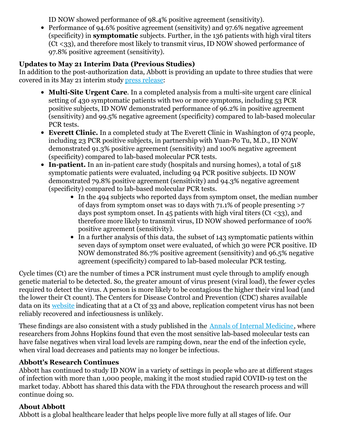ID NOW showed performance of 98.4% positive agreement (sensitivity).

Performance of 94.6% positive agreement (sensitivity) and 97.6% negative agreement (specificity) in **symptomatic** subjects. Further, in the 136 patients with high viral titers (Ct <33), and therefore most likely to transmit virus, ID NOW showed performance of 97.8% positive agreement (sensitivity).

## **Updates to May 21 Interim Data (Previous Studies)**

In addition to the post-authorization data, Abbott is providing an update to three studies that were covered in its May 21 interim study press [release](https://c212.net/c/link/?t=0&l=en&o=2942427-1&h=2715561398&u=https%3A%2F%2Fabbott.mediaroom.com%2F2020-05-21-Abbott-Releases-Interim-Clinical-Study-Data-on-ID-NOW-COVID-19-Rapid-Test-Showing-Strong-Agreement-to-Lab-Based-Molecular-PCR-Tests&a=press+release):

- **Multi-Site Urgent Care**. In a completed analysis from a multi-site urgent care clinical setting of 430 symptomatic patients with two or more symptoms, including 53 PCR positive subjects, ID NOW demonstrated performance of 96.2% in positive agreement (sensitivity) and 99.5% negative agreement (specificity) compared to lab-based molecular PCR tests.
- **Everett Clinic.** In a completed study at The Everett Clinic in Washington of 974 people, including 23 PCR positive subjects, in partnership with Yuan-Po Tu, M.D., ID NOW demonstrated 91.3% positive agreement (sensitivity) and 100% negative agreement (specificity) compared to lab-based molecular PCR tests.
- In-patient. In an in-patient care study (hospitals and nursing homes), a total of 518 symptomatic patients were evaluated, including 94 PCR positive subjects. ID NOW demonstrated 79.8% positive agreement (sensitivity) and 94.3% negative agreement (specificity) compared to lab-based molecular PCR tests.
	- In the 494 subjects who reported days from symptom onset, the median number of days from symptom onset was 10 days with 71.1% of people presenting >7 days post symptom onset. In 45 patients with high viral titers (Ct  $\langle 33 \rangle$ , and therefore more likely to transmit virus, ID NOW showed performance of 100% positive agreement (sensitivity).
	- In a further analysis of this data, the subset of 143 symptomatic patients within seven days of symptom onset were evaluated, of which 30 were PCR positive. ID NOW demonstrated 86.7% positive agreement (sensitivity) and 96.5% negative agreement (specificity) compared to lab-based molecular PCR testing.

Cycle times (Ct) are the number of times a PCR instrument must cycle through to amplify enough genetic material to be detected. So, the greater amount of virus present (viral load), the fewer cycles required to detect the virus. A person is more likely to be contagious the higher their viral load (and the lower their Ct count). The Centers for Disease Control and Prevention (CDC) shares available data on its [website](https://c212.net/c/link/?t=0&l=en&o=2942427-1&h=4058938970&u=https%3A%2F%2Fwww.cdc.gov%2Fcoronavirus%2F2019-ncov%2Fhcp%2Fduration-isolation.html&a=website) indicating that at a Ct of 33 and above, replication competent virus has not been reliably recovered and infectiousness is unlikely.

These findings are also consistent with a study published in the Annals of Internal [Medicine](https://c212.net/c/link/?t=0&l=en&o=2942427-1&h=2152782266&u=https%3A%2F%2Fwww.acpjournals.org%2Fdoi%2F10.7326%2FM20-1495&a=Annals+of+Internal+Medicine), where researchers from Johns Hopkins found that even the most sensitive lab-based molecular tests can have false negatives when viral load levels are ramping down, near the end of the infection cycle, when viral load decreases and patients may no longer be infectious.

## **Abbott's Research Continues**

Abbott has continued to study ID NOW in a variety of settings in people who are at different stages of infection with more than 1,000 people, making it the most studied rapid COVID-19 test on the market today. Abbott has shared this data with the FDA throughout the research process and will continue doing so.

## **About Abbott**

Abbott is a global healthcare leader that helps people live more fully at all stages of life. Our